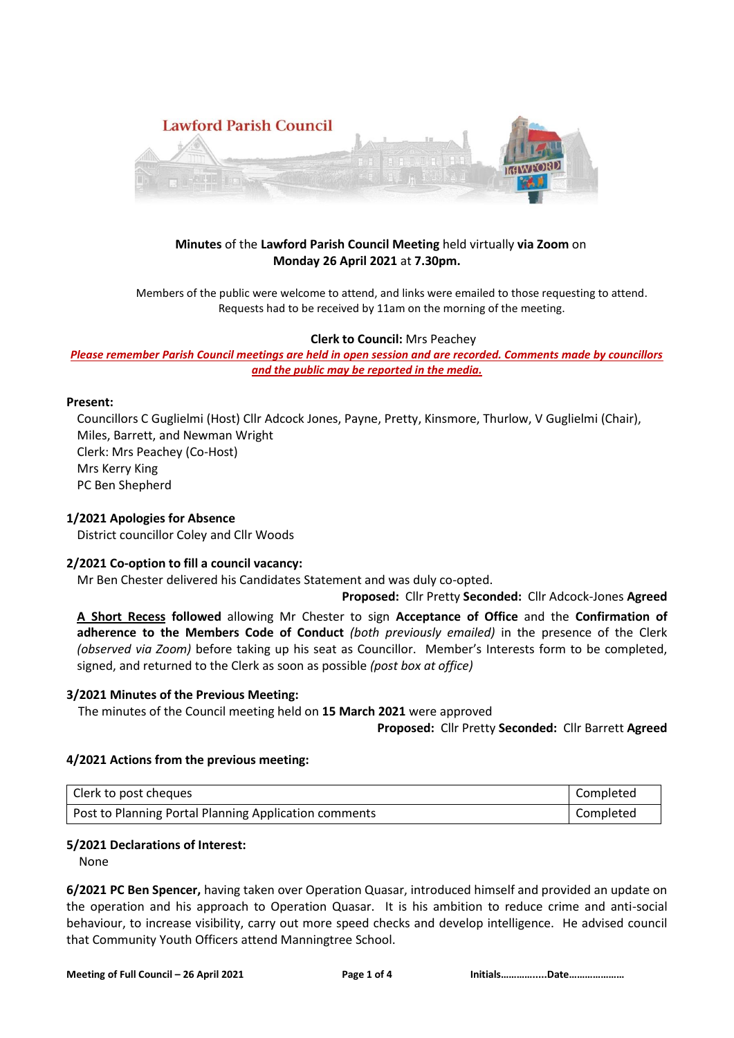

# **Minutes** of the **Lawford Parish Council Meeting** held virtually **via Zoom** on **Monday 26 April 2021** at **7.30pm.**

Members of the public were welcome to attend, and links were emailed to those requesting to attend. Requests had to be received by 11am on the morning of the meeting.

#### **Clerk to Council:** Mrs Peachey

#### *Please remember Parish Council meetings are held in open session and are recorded. Comments made by councillors and the public may be reported in the media.*

#### **Present:**

Councillors C Guglielmi (Host) Cllr Adcock Jones, Payne, Pretty, Kinsmore, Thurlow, V Guglielmi (Chair), Miles, Barrett, and Newman Wright Clerk: Mrs Peachey (Co-Host) Mrs Kerry King PC Ben Shepherd

### **1/2021 Apologies for Absence**

District councillor Coley and Cllr Woods

### **2/2021 Co-option to fill a council vacancy:**

Mr Ben Chester delivered his Candidates Statement and was duly co-opted.

#### **Proposed:**Cllr Pretty **Seconded:** Cllr Adcock-Jones **Agreed**

**A Short Recess followed** allowing Mr Chester to sign **Acceptance of Office** and the **Confirmation of adherence to the Members Code of Conduct** *(both previously emailed)* in the presence of the Clerk *(observed via Zoom)* before taking up his seat as Councillor. Member's Interests form to be completed, signed, and returned to the Clerk as soon as possible *(post box at office)*

#### **3/2021 Minutes of the Previous Meeting:**

The minutes of the Council meeting held on **15 March 2021** were approved

**Proposed:**Cllr Pretty **Seconded:** Cllr Barrett **Agreed**

### **4/2021 Actions from the previous meeting:**

| Clerk to post cheques                                 | Completed |
|-------------------------------------------------------|-----------|
| Post to Planning Portal Planning Application comments | Completed |

### **5/2021 Declarations of Interest:**

None

**6/2021 PC Ben Spencer,** having taken over Operation Quasar, introduced himself and provided an update on the operation and his approach to Operation Quasar. It is his ambition to reduce crime and anti-social behaviour, to increase visibility, carry out more speed checks and develop intelligence. He advised council that Community Youth Officers attend Manningtree School.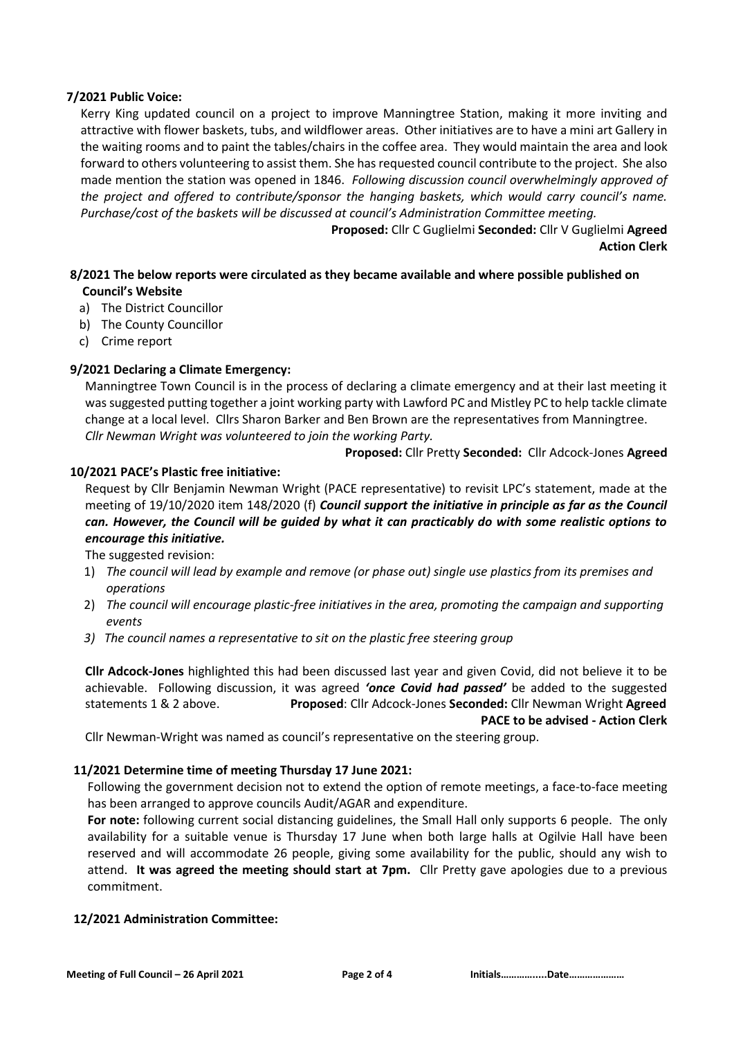### **7/2021 Public Voice:**

Kerry King updated council on a project to improve Manningtree Station, making it more inviting and attractive with flower baskets, tubs, and wildflower areas. Other initiatives are to have a mini art Gallery in the waiting rooms and to paint the tables/chairs in the coffee area. They would maintain the area and look forward to others volunteering to assist them. She has requested council contribute to the project. She also made mention the station was opened in 1846. *Following discussion council overwhelmingly approved of the project and offered to contribute/sponsor the hanging baskets, which would carry council's name. Purchase/cost of the baskets will be discussed at council's Administration Committee meeting.*

> **Proposed:** Cllr C Guglielmi **Seconded:** Cllr V Guglielmi **Agreed Action Clerk**

# **8/2021 The below reports were circulated as they became available and where possible published on Council's Website**

- a) The District Councillor
- b) The County Councillor
- c) Crime report

# **9/2021 Declaring a Climate Emergency:**

Manningtree Town Council is in the process of declaring a climate emergency and at their last meeting it was suggested putting together a joint working party with Lawford PC and Mistley PC to help tackle climate change at a local level. Cllrs Sharon Barker and Ben Brown are the representatives from Manningtree. *Cllr Newman Wright was volunteered to join the working Party.*

 **Proposed:** Cllr Pretty **Seconded:** Cllr Adcock-Jones **Agreed**

### **10/2021 PACE's Plastic free initiative:**

Request by Cllr Benjamin Newman Wright (PACE representative) to revisit LPC's statement, made at the meeting of 19/10/2020 item 148/2020 (f) *Council support the initiative in principle as far as the Council can. However, the Council will be guided by what it can practicably do with some realistic options to encourage this initiative.*

The suggested revision:

- 1) *The council will lead by example and remove (or phase out) single use plastics from its premises and operations*
- 2) *The council will encourage plastic-free initiatives in the area, promoting the campaign and supporting events*
- *3) The council names a representative to sit on the plastic free steering group*

**Cllr Adcock-Jones** highlighted this had been discussed last year and given Covid, did not believe it to be achievable. Following discussion, it was agreed *'once Covid had passed'* be added to the suggested statements 1 & 2 above. **Proposed**: Cllr Adcock-Jones **Seconded:** Cllr Newman Wright **Agreed PACE to be advised - Action Clerk**

Cllr Newman-Wright was named as council's representative on the steering group.

### **11/2021 Determine time of meeting Thursday 17 June 2021:**

Following the government decision not to extend the option of remote meetings, a face-to-face meeting has been arranged to approve councils Audit/AGAR and expenditure.

**For note:** following current social distancing guidelines, the Small Hall only supports 6 people. The only availability for a suitable venue is Thursday 17 June when both large halls at Ogilvie Hall have been reserved and will accommodate 26 people, giving some availability for the public, should any wish to attend. **It was agreed the meeting should start at 7pm.** Cllr Pretty gave apologies due to a previous commitment.

### **12/2021 Administration Committee:**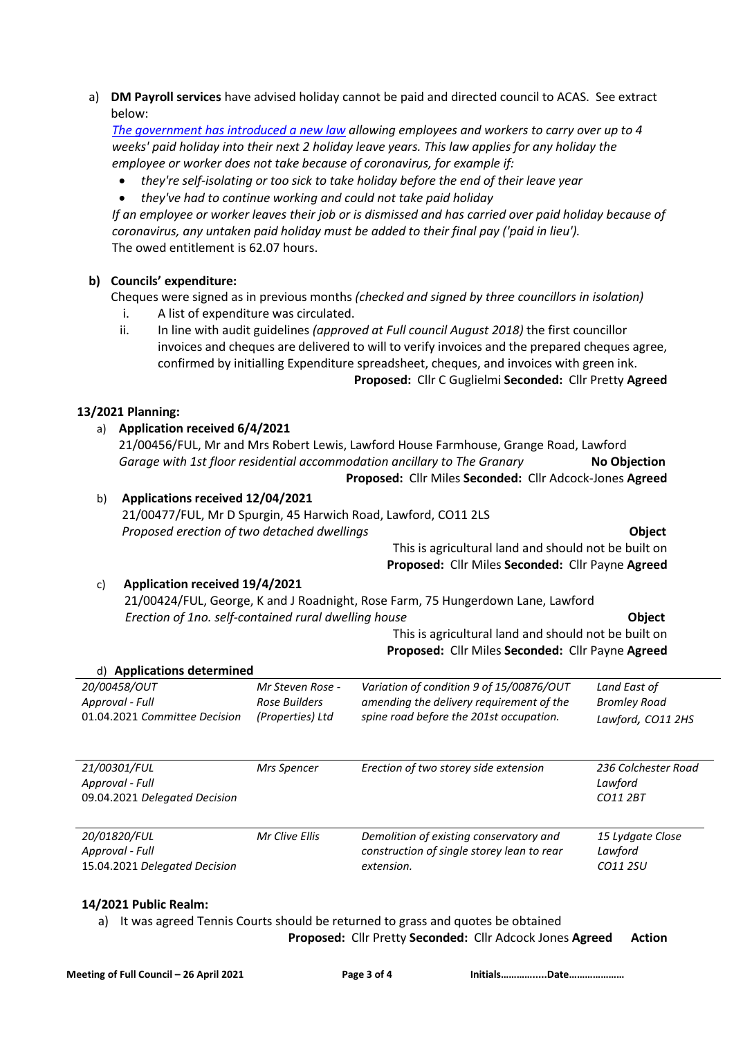a) **DM Payroll services** have advised holiday cannot be paid and directed council to ACAS. See extract below:

*[The government has introduced a new law](https://www.gov.uk/guidance/holiday-entitlement-and-pay-during-coronavirus-covid-19#carrying-annual-leave-into-future-leave-years) allowing employees and workers to carry over up to 4 weeks' paid holiday into their next 2 holiday leave years. This law applies for any holiday the employee or worker does not take because of coronavirus, for example if:*

- *they're self-isolating or too sick to take holiday before the end of their leave year*
- *they've had to continue working and could not take paid holiday*

*If an employee or worker leaves their job or is dismissed and has carried over paid holiday because of coronavirus, any untaken paid holiday must be added to their final pay ('paid in lieu').* The owed entitlement is 62.07 hours.

# **b) Councils' expenditure:**

Cheques were signed as in previous months *(checked and signed by three councillors in isolation)* 

- i. A list of expenditure was circulated.
- ii. In line with audit guidelines *(approved at Full council August 2018)* the first councillor invoices and cheques are delivered to will to verify invoices and the prepared cheques agree, confirmed by initialling Expenditure spreadsheet, cheques, and invoices with green ink. **Proposed:**Cllr C Guglielmi **Seconded:** Cllr Pretty **Agreed**

### **13/2021 Planning:**

# a) **Application received 6/4/2021**

 21/00456/FUL, Mr and Mrs Robert Lewis, Lawford House Farmhouse, Grange Road, Lawford *Garage with 1st floor residential accommodation ancillary to The Granary* **No Objection**

# **Proposed:**Cllr Miles **Seconded:** Cllr Adcock-Jones **Agreed**

# b) **Applications received 12/04/2021**

21/00477/FUL, Mr D Spurgin, 45 Harwich Road, Lawford, CO11 2LS *Proposed erection of two detached dwellings* **Object**

This is agricultural land and should not be built on **Proposed:**Cllr Miles **Seconded:** Cllr Payne **Agreed**

### c) **Application received 19/4/2021**

 21/00424/FUL, George, K and J Roadnight, Rose Farm, 75 Hungerdown Lane, Lawford *Erection of 1no. self-contained rural dwelling house* **Object**

This is agricultural land and should not be built on  **Proposed:**Cllr Miles **Seconded:** Cllr Payne **Agreed**

| d) Applications determined      |                    |                                                                                       |                             |
|---------------------------------|--------------------|---------------------------------------------------------------------------------------|-----------------------------|
| 20/00458/OUT                    | Mr Steven Rose -   | Variation of condition 9 of 15/00876/OUT                                              | Land East of                |
| Approval - Full                 | Rose Builders      | amending the delivery requirement of the                                              | <b>Bromley Road</b>         |
| 01.04.2021 Committee Decision   | (Properties) Ltd   | spine road before the 201st occupation.                                               | Lawford, CO11 2HS           |
|                                 |                    |                                                                                       |                             |
| 21/00301/FUL                    | <b>Mrs Spencer</b> | Erection of two storey side extension                                                 | 236 Colchester Road         |
| Approval - Full                 |                    |                                                                                       | Lawford                     |
| 09.04.2021 Delegated Decision   |                    |                                                                                       | CO11 2BT                    |
| 20/01820/FUL<br>Approval - Full | Mr Clive Ellis     | Demolition of existing conservatory and<br>construction of single storey lean to rear | 15 Lydgate Close<br>Lawford |
| 15.04.2021 Delegated Decision   |                    | extension.                                                                            | CO11 2SU                    |
|                                 |                    |                                                                                       |                             |

### **14/2021 Public Realm:**

a) It was agreed Tennis Courts should be returned to grass and quotes be obtained

|  |  | Proposed: Cllr Pretty Seconded: Cllr Adcock Jones Agreed Action |  |
|--|--|-----------------------------------------------------------------|--|
|--|--|-----------------------------------------------------------------|--|